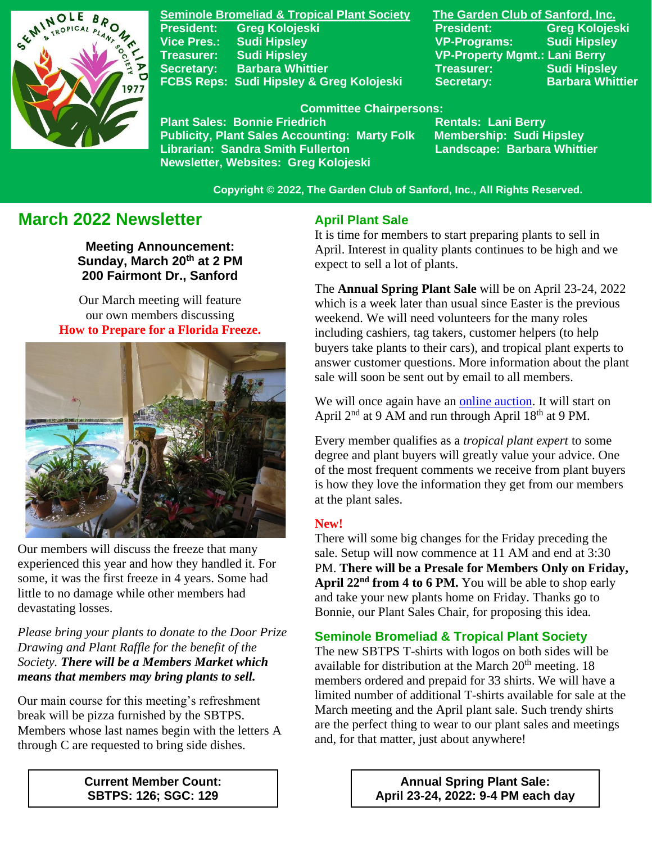

**Seminole Bromeliad & Tropical Plant Society The Garden Club of Sanford, Inc. Vice Pres.: Sudi Hipsley VP-Programs: Sudi Hipsley Treasurer: Sudi Hipsley VP-Property Mgmt.: Lani Berry Secretary:** Barbara Whittier **Treasurer:** Treasurer: Sudi Hipsley **FCBS Reps: Sudi Hipsley & Greg Kolojeski Secretary: Barbara Whittier** 

**President: Greg Kolojeski President: Greg Kolojeski** 

 **Committee Chairpersons:**

Plant Sales: Bonnie Friedrich **Nentals: Lani Berry<br>Publicity, Plant Sales Accounting: Marty Folk Membership: Sudi Hipsley Publicity, Plant Sales Accounting: Marty Folk Librarian: Sandra Smith Fullerton Landscape: Barbara Whittier Newsletter, Websites: Greg Kolojeski**

 **Copyright © 2022, The Garden Club of Sanford, Inc., All Rights Reserved.**

# **March 2022 Newsletter**

**Meeting Announcement: Sunday, March 20th at 2 PM 200 Fairmont Dr., Sanford**

Our March meeting will feature our own members discussing **How to Prepare for a Florida Freeze.**



 Our members will discuss the freeze that many experienced this year and how they handled it. For some, it was the first freeze in 4 years. Some had little to no damage while other members had devastating losses.

*Please bring your plants to donate to the Door Prize Drawing and Plant Raffle for the benefit of the Society. There will be a Members Market which means that members may bring plants to sell.*

Our main course for this meeting's refreshment break will be pizza furnished by the SBTPS. Members whose last names begin with the letters A through C are requested to bring side dishes.

### **April Plant Sale**

It is time for members to start preparing plants to sell in April. Interest in quality plants continues to be high and we expect to sell a lot of plants.

The **Annual Spring Plant Sale** will be on April 23-24, 2022 which is a week later than usual since Easter is the previous weekend. We will need volunteers for the many roles including cashiers, tag takers, customer helpers (to help buyers take plants to their cars), and tropical plant experts to answer customer questions. More information about the plant sale will soon be sent out by email to all members.

We will once again have an [online auction.](https://www.32auctions.com/annualspringplantsale2022) It will start on April  $2<sup>nd</sup>$  at 9 AM and run through April  $18<sup>th</sup>$  at 9 PM.

Every member qualifies as a *tropical plant expert* to some degree and plant buyers will greatly value your advice. One of the most frequent comments we receive from plant buyers is how they love the information they get from our members at the plant sales.

### **New!**

There will some big changes for the Friday preceding the sale. Setup will now commence at 11 AM and end at 3:30 PM. **There will be a Presale for Members Only on Friday, April 22nd from 4 to 6 PM.** You will be able to shop early and take your new plants home on Friday. Thanks go to Bonnie, our Plant Sales Chair, for proposing this idea.

#### **Seminole Bromeliad & Tropical Plant Society**

The new SBTPS T-shirts with logos on both sides will be available for distribution at the March  $20<sup>th</sup>$  meeting. 18 members ordered and prepaid for 33 shirts. We will have a limited number of additional T-shirts available for sale at the March meeting and the April plant sale. Such trendy shirts are the perfect thing to wear to our plant sales and meetings and, for that matter, just about anywhere!

**Current Member Count: SBTPS: 126; SGC: 129**

**Annual Spring Plant Sale: April 23-24, 2022: 9-4 PM each day**